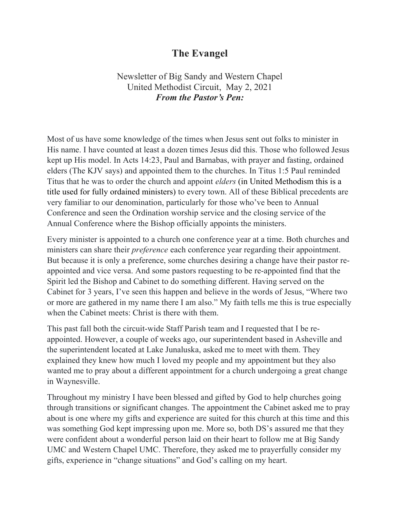# The Evangel

# Newsletter of Big Sandy and Western Chapel United Methodist Circuit, May 2, 2021 From the Pastor's Pen:

Most of us have some knowledge of the times when Jesus sent out folks to minister in His name. I have counted at least a dozen times Jesus did this. Those who followed Jesus kept up His model. In Acts 14:23, Paul and Barnabas, with prayer and fasting, ordained elders (The KJV says) and appointed them to the churches. In Titus 1:5 Paul reminded Titus that he was to order the church and appoint elders (in United Methodism this is a title used for fully ordained ministers) to every town. All of these Biblical precedents are very familiar to our denomination, particularly for those who've been to Annual Conference and seen the Ordination worship service and the closing service of the Annual Conference where the Bishop officially appoints the ministers.

Every minister is appointed to a church one conference year at a time. Both churches and ministers can share their *preference* each conference year regarding their appointment. But because it is only a preference, some churches desiring a change have their pastor reappointed and vice versa. And some pastors requesting to be re-appointed find that the Spirit led the Bishop and Cabinet to do something different. Having served on the Cabinet for 3 years, I've seen this happen and believe in the words of Jesus, "Where two or more are gathered in my name there I am also." My faith tells me this is true especially when the Cabinet meets: Christ is there with them.

This past fall both the circuit-wide Staff Parish team and I requested that I be reappointed. However, a couple of weeks ago, our superintendent based in Asheville and the superintendent located at Lake Junaluska, asked me to meet with them. They explained they knew how much I loved my people and my appointment but they also wanted me to pray about a different appointment for a church undergoing a great change in Waynesville.

Throughout my ministry I have been blessed and gifted by God to help churches going through transitions or significant changes. The appointment the Cabinet asked me to pray about is one where my gifts and experience are suited for this church at this time and this was something God kept impressing upon me. More so, both DS's assured me that they were confident about a wonderful person laid on their heart to follow me at Big Sandy UMC and Western Chapel UMC. Therefore, they asked me to prayerfully consider my gifts, experience in "change situations" and God's calling on my heart.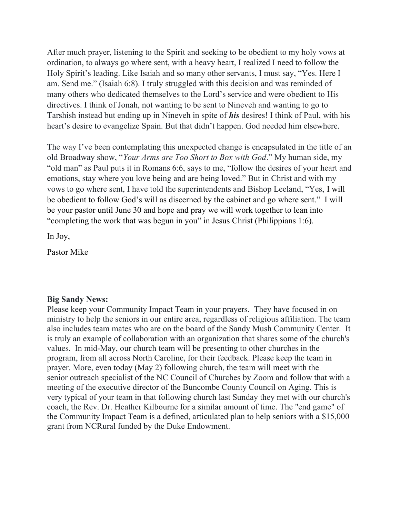After much prayer, listening to the Spirit and seeking to be obedient to my holy vows at ordination, to always go where sent, with a heavy heart, I realized I need to follow the Holy Spirit's leading. Like Isaiah and so many other servants, I must say, "Yes. Here I am. Send me." (Isaiah 6:8). I truly struggled with this decision and was reminded of many others who dedicated themselves to the Lord's service and were obedient to His directives. I think of Jonah, not wanting to be sent to Nineveh and wanting to go to Tarshish instead but ending up in Nineveh in spite of his desires! I think of Paul, with his heart's desire to evangelize Spain. But that didn't happen. God needed him elsewhere.

The way I've been contemplating this unexpected change is encapsulated in the title of an old Broadway show, "Your Arms are Too Short to Box with God." My human side, my "old man" as Paul puts it in Romans 6:6, says to me, "follow the desires of your heart and emotions, stay where you love being and are being loved." But in Christ and with my vows to go where sent, I have told the superintendents and Bishop Leeland, "Yes, I will be obedient to follow God's will as discerned by the cabinet and go where sent." I will be your pastor until June 30 and hope and pray we will work together to lean into "completing the work that was begun in you" in Jesus Christ (Philippians 1:6).

In Joy,

Pastor Mike

# Big Sandy News:

Please keep your Community Impact Team in your prayers. They have focused in on ministry to help the seniors in our entire area, regardless of religious affiliation. The team also includes team mates who are on the board of the Sandy Mush Community Center. It is truly an example of collaboration with an organization that shares some of the church's values. In mid-May, our church team will be presenting to other churches in the program, from all across North Caroline, for their feedback. Please keep the team in prayer. More, even today (May 2) following church, the team will meet with the senior outreach specialist of the NC Council of Churches by Zoom and follow that with a meeting of the executive director of the Buncombe County Council on Aging. This is very typical of your team in that following church last Sunday they met with our church's coach, the Rev. Dr. Heather Kilbourne for a similar amount of time. The "end game" of the Community Impact Team is a defined, articulated plan to help seniors with a \$15,000 grant from NCRural funded by the Duke Endowment.